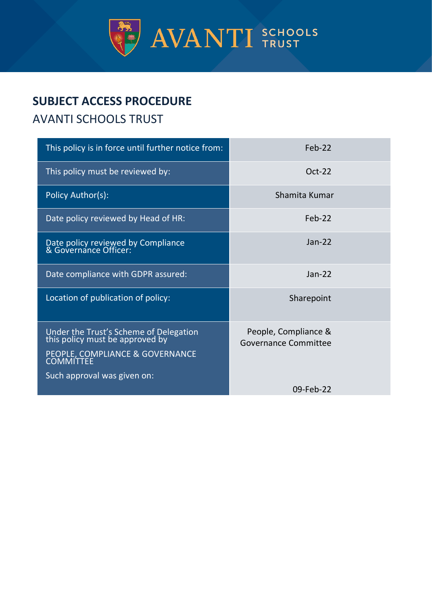

# **SUBJECT ACCESS PROCEDURE**

# AVANTI SCHOOLS TRUST

| This policy is in force until further notice from:                                                                                          | Feb-22                                              |
|---------------------------------------------------------------------------------------------------------------------------------------------|-----------------------------------------------------|
| This policy must be reviewed by:                                                                                                            | $Oct-22$                                            |
| Policy Author(s):                                                                                                                           | Shamita Kumar                                       |
| Date policy reviewed by Head of HR:                                                                                                         | $Feb-22$                                            |
| Date policy reviewed by Compliance<br>& Governance Officer:                                                                                 | $Jan-22$                                            |
| Date compliance with GDPR assured:                                                                                                          | $Jan-22$                                            |
| Location of publication of policy:                                                                                                          | Sharepoint                                          |
| Under the Trust's Scheme of Delegation<br>this policy must be approved by<br>PEOPLE, COMPLIANCE & GOVERNANCE<br>Such approval was given on: | People, Compliance &<br><b>Governance Committee</b> |
|                                                                                                                                             | 09-Feb-22                                           |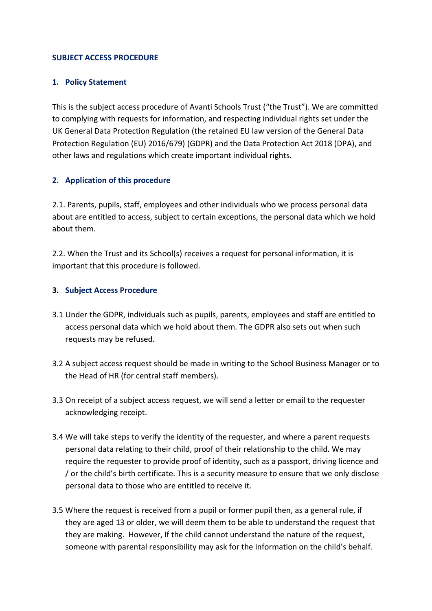#### **SUBJECT ACCESS PROCEDURE**

#### **1. Policy Statement**

This is the subject access procedure of Avanti Schools Trust ("the Trust"). We are committed to complying with requests for information, and respecting individual rights set under the UK General Data Protection Regulation (the retained EU law version of the General Data Protection Regulation (EU) 2016/679) (GDPR) and the Data Protection Act 2018 (DPA), and other laws and regulations which create important individual rights.

#### **2. Application of this procedure**

2.1. Parents, pupils, staff, employees and other individuals who we process personal data about are entitled to access, subject to certain exceptions, the personal data which we hold about them.

2.2. When the Trust and its School(s) receives a request for personal information, it is important that this procedure is followed.

#### **3. Subject Access Procedure**

- 3.1 Under the GDPR, individuals such as pupils, parents, employees and staff are entitled to access personal data which we hold about them. The GDPR also sets out when such requests may be refused.
- 3.2 A subject access request should be made in writing to the School Business Manager or to the Head of HR (for central staff members).
- 3.3 On receipt of a subject access request, we will send a letter or email to the requester acknowledging receipt.
- 3.4 We will take steps to verify the identity of the requester, and where a parent requests personal data relating to their child, proof of their relationship to the child. We may require the requester to provide proof of identity, such as a passport, driving licence and / or the child's birth certificate. This is a security measure to ensure that we only disclose personal data to those who are entitled to receive it.
- 3.5 Where the request is received from a pupil or former pupil then, as a general rule, if they are aged 13 or older, we will deem them to be able to understand the request that they are making. However, If the child cannot understand the nature of the request, someone with parental responsibility may ask for the information on the child's behalf.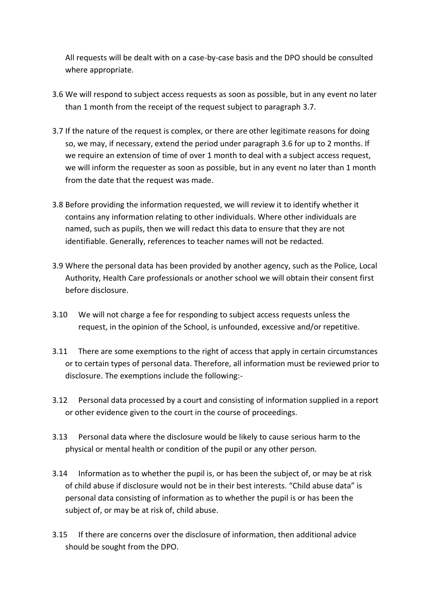All requests will be dealt with on a case-by-case basis and the DPO should be consulted where appropriate.

- <span id="page-2-1"></span>3.6 We will respond to subject access requests as soon as possible, but in any event no later than 1 month from the receipt of the request subject to paragraph [3.7.](#page-2-0)
- <span id="page-2-0"></span>3.7 If the nature of the request is complex, or there are other legitimate reasons for doing so, we may, if necessary, extend the period under paragraph [3.6](#page-2-1) for up to 2 months. If we require an extension of time of over 1 month to deal with a subject access request, we will inform the requester as soon as possible, but in any event no later than 1 month from the date that the request was made.
- 3.8 Before providing the information requested, we will review it to identify whether it contains any information relating to other individuals. Where other individuals are named, such as pupils, then we will redact this data to ensure that they are not identifiable. Generally, references to teacher names will not be redacted.
- 3.9 Where the personal data has been provided by another agency, such as the Police, Local Authority, Health Care professionals or another school we will obtain their consent first before disclosure.
- 3.10 We will not charge a fee for responding to subject access requests unless the request, in the opinion of the School, is unfounded, excessive and/or repetitive.
- 3.11 There are some exemptions to the right of access that apply in certain circumstances or to certain types of personal data. Therefore, all information must be reviewed prior to disclosure. The exemptions include the following:-
- 3.12 Personal data processed by a court and consisting of information supplied in a report or other evidence given to the court in the course of proceedings.
- 3.13 Personal data where the disclosure would be likely to cause serious harm to the physical or mental health or condition of the pupil or any other person.
- 3.14 Information as to whether the pupil is, or has been the subject of, or may be at risk of child abuse if disclosure would not be in their best interests. "Child abuse data" is personal data consisting of information as to whether the pupil is or has been the subject of, or may be at risk of, child abuse.
- 3.15 If there are concerns over the disclosure of information, then additional advice should be sought from the DPO.